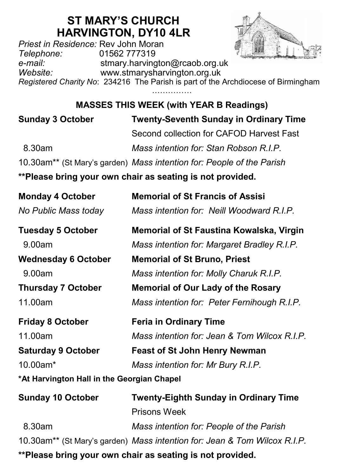## **ST MARY'S CHURCH HARVINGTON, DY10 4LR**

*Priest in Residence:* Rev John Moran *Telephone:* 01562 777319 *e-mail:* stmary.harvington@rcaob.org.uk *Website:* www.stmarysharvington.org.uk

*Registered Charity No*: 234216 The Parish is part of the Archdiocese of Birmingham ……………

**MASSES THIS WEEK (with YEAR B Readings)** 

| <b>Sunday 3 October</b> | <b>Twenty-Seventh Sunday in Ordinary Time</b>                         |  |
|-------------------------|-----------------------------------------------------------------------|--|
|                         | Second collection for CAFOD Harvest Fast                              |  |
| 8.30am                  | Mass intention for: Stan Robson R.I.P.                                |  |
|                         | 10.30am** (St Mary's garden) Mass intention for: People of the Parish |  |

**\*\*Please bring your own chair as seating is not provided.**

| <b>Monday 4 October</b>                    | <b>Memorial of St Francis of Assisi</b>                                   |  |
|--------------------------------------------|---------------------------------------------------------------------------|--|
| No Public Mass today                       | Mass intention for: Neill Woodward R.I.P.                                 |  |
| <b>Tuesday 5 October</b>                   | Memorial of St Faustina Kowalska, Virgin                                  |  |
| 9.00am                                     | Mass intention for: Margaret Bradley R.I.P.                               |  |
| <b>Wednesday 6 October</b>                 | <b>Memorial of St Bruno, Priest</b>                                       |  |
| 9.00am                                     | Mass intention for: Molly Charuk R.I.P.                                   |  |
| <b>Thursday 7 October</b>                  | <b>Memorial of Our Lady of the Rosary</b>                                 |  |
| 11.00am                                    | Mass intention for: Peter Fernihough R.I.P.                               |  |
| <b>Friday 8 October</b>                    | <b>Feria in Ordinary Time</b>                                             |  |
| 11.00am                                    | Mass intention for: Jean & Tom Wilcox R.I.P.                              |  |
| <b>Saturday 9 October</b>                  | <b>Feast of St John Henry Newman</b>                                      |  |
| 10.00am*                                   | Mass intention for: Mr Bury R.I.P.                                        |  |
| *At Harvington Hall in the Georgian Chapel |                                                                           |  |
| <b>Sunday 10 October</b>                   | <b>Twenty-Eighth Sunday in Ordinary Time</b>                              |  |
|                                            | <b>Prisons Week</b>                                                       |  |
| 8.30am                                     | Mass intention for: People of the Parish                                  |  |
|                                            | 10.30am** (St Mary's garden) Mass intention for: Jean & Tom Wilcox R.I.P. |  |

**\*\*Please bring your own chair as seating is not provided.**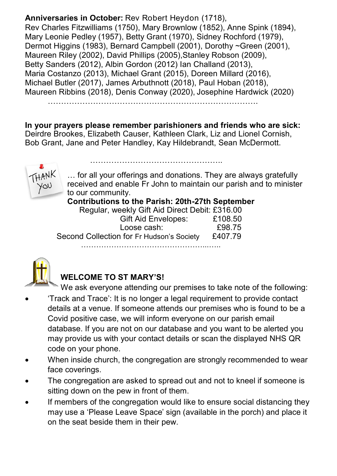**Anniversaries in October:** Rev Robert Heydon (1718), Rev Charles Fitzwilliams (1750), Mary Brownlow (1852), Anne Spink (1894), Mary Leonie Pedley (1957), Betty Grant (1970), Sidney Rochford (1979), Dermot Higgins (1983), Bernard Campbell (2001), Dorothy ~Green (2001), Maureen Riley (2002), David Phillips (2005),Stanley Robson (2009), Betty Sanders (2012), Albin Gordon (2012) Ian Challand (2013), Maria Costanzo (2013), Michael Grant (2015), Doreen Millard (2016), Michael Butler (2017), James Arbuthnott (2018), Paul Hoban (2018), Maureen Ribbins (2018), Denis Conway (2020), Josephine Hardwick (2020)

…………………………………………………………………….

**In your prayers please remember parishioners and friends who are sick:**  Deirdre Brookes, Elizabeth Causer, Kathleen Clark, Liz and Lionel Cornish, Bob Grant, Jane and Peter Handley, Kay Hildebrandt, Sean McDermott.

…………………………………………..



… for all your offerings and donations. They are always gratefully received and enable Fr John to maintain our parish and to minister to our community.

**Contributions to the Parish: 20th-27th September**

| Regular, weekly Gift Aid Direct Debit: £316.00 |         |
|------------------------------------------------|---------|
| <b>Gift Aid Envelopes:</b>                     | £108.50 |
| Loose cash:                                    | £98.75  |
| Second Collection for Fr Hudson's Society      | £407.79 |
|                                                |         |



## **WELCOME TO ST MARY'S!**

We ask everyone attending our premises to take note of the following:

- 'Track and Trace': It is no longer a legal requirement to provide contact details at a venue. If someone attends our premises who is found to be a Covid positive case, we will inform everyone on our parish email database. If you are not on our database and you want to be alerted you may provide us with your contact details or scan the displayed NHS QR code on your phone.
- When inside church, the congregation are strongly recommended to wear face coverings.
- The congregation are asked to spread out and not to kneel if someone is sitting down on the pew in front of them.
- If members of the congregation would like to ensure social distancing they may use a 'Please Leave Space' sign (available in the porch) and place it on the seat beside them in their pew.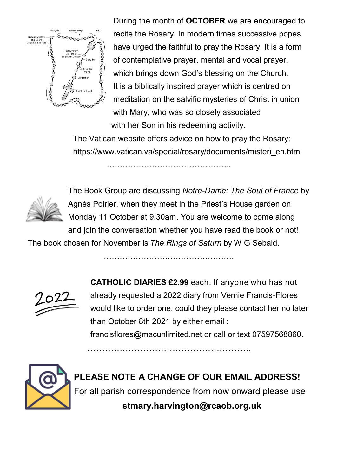

During the month of **OCTOBER** we are encouraged to recite the Rosary. In modern times successive popes have urged the faithful to pray the Rosary. It is a form of contemplative prayer, mental and vocal prayer, which brings down God's blessing on the Church. It is a biblically inspired prayer which is centred on meditation on the salvific mysteries of Christ in union with Mary, who was so closely associated with her Son in his redeeming activity.

The Vatican website offers advice on how to pray the Rosary: https://www.vatican.va/special/rosary/documents/misteri\_en.html



The Book Group are discussing *Notre-Dame: The Soul of France* by Agnès Poirier, when they meet in the Priest's House garden on Monday 11 October at 9.30am. You are welcome to come along and join the conversation whether you have read the book or not!

The book chosen for November is *The Rings of Saturn* by W G Sebald.

………………………………………….

…………………………………………………



**CATHOLIC DIARIES £2.99** each. If anyone who has not already requested a 2022 diary from Vernie Francis-Flores would like to order one, could they please contact her no later than October 8th 2021 by either email :

francisflores@macunlimited.net or call or text 07597568860.



**PLEASE NOTE A CHANGE OF OUR EMAIL ADDRESS!** For all parish correspondence from now onward please use **stmary.harvington@rcaob.org.uk**

………………………………………………..